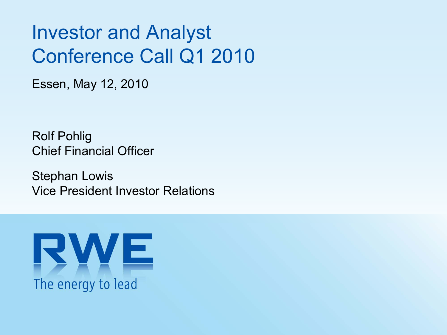# Investor and Analyst Conference Call Q1 2010

Essen, May 12, 2010

Rolf Pohlig Chief Financial Officer

Stephan Lowis Vice President Investor Relations

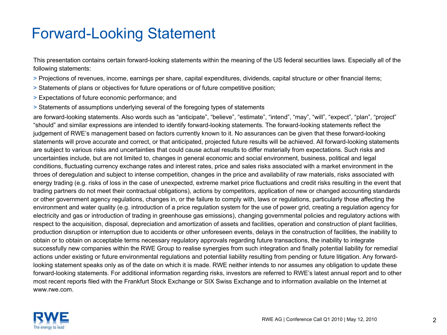#### Forward-Looking Statement

This presentation contains certain forward-looking statements within the meaning of the US federal securities laws. Especially all of the following statements:

- > Projections of revenues, income, earnings per share, capital expenditures, dividends, capital structure or other financial items;
- > Statements of plans or objectives for future operations or of future competitive position;
- > Expectations of future economic performance; and
- > Statements of assumptions underlying several of the foregoing types of statements

are forward-looking statements. Also words such as "anticipate", "believe", "estimate", "intend", "may", "will", "expect", "plan", "project" "should" and similar expressions are intended to identify forward-looking statements. The forward-looking statements reflect the judgement of RWE's management based on factors currently known to it. No assurances can be given that these forward-looking statements will prove accurate and correct, or that anticipated, projected future results will be achieved. All forward-looking statements are subject to various risks and uncertainties that could cause actual results to differ materially from expectations. Such risks and uncertainties include, but are not limited to, changes in general economic and social environment, business, political and legal conditions, fluctuating currency exchange rates and interest rates, price and sales risks associated with a market environment in the throes of deregulation and subject to intense competition, changes in the price and availability of raw materials, risks associated with energy trading (e.g. risks of loss in the case of unexpected, extreme market price fluctuations and credit risks resulting in the event that trading partners do not meet their contractual obligations), actions by competitors, application of new or changed accounting standards or other government agency regulations, changes in, or the failure to comply with, laws or regulations, particularly those affecting the environment and water quality (e.g. introduction of a price regulation system for the use of power grid, creating a regulation agency for electricity and gas or introduction of trading in greenhouse gas emissions), changing governmental policies and regulatory actions with respect to the acquisition, disposal, depreciation and amortization of assets and facilities, operation and construction of plant facilities, production disruption or interruption due to accidents or other unforeseen events, delays in the construction of facilities, the inability to obtain or to obtain on acceptable terms necessary regulatory approvals regarding future transactions, the inability to integrate successfully new companies within the RWE Group to realise synergies from such integration and finally potential liability for remedial actions under existing or future environmental regulations and potential liability resulting from pending or future litigation. Any forwardlooking statement speaks only as of the date on which it is made. RWE neither intends to nor assumes any obligation to update these forward-looking statements. For additional information regarding risks, investors are referred to RWE's latest annual report and to other most recent reports filed with the Frankfurt Stock Exchange or SIX Swiss Exchange and to information available on the Internet at www.rwe.com.

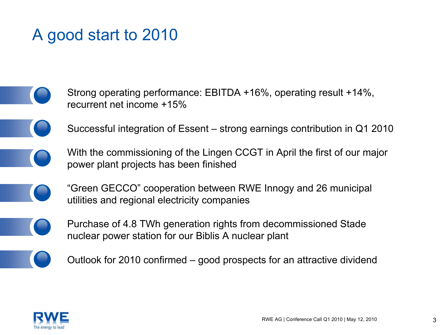### A good start to 2010

- Strong operating performance: EBITDA +16%, operating result +14%, recurrent net income +15%
	- Successful integration of Essent strong earnings contribution in Q1 2010
	- With the commissioning of the Lingen CCGT in April the first of our major power plant projects has been finished
	- "Green GECCO" cooperation between RWE Innogy and 26 municipal utilities and regional electricity companies
	- Purchase of 4.8 TWh generation rights from decommissioned Stade nuclear power station for our Biblis A nuclear plant
- 
- Outlook for 2010 confirmed good prospects for an attractive dividend

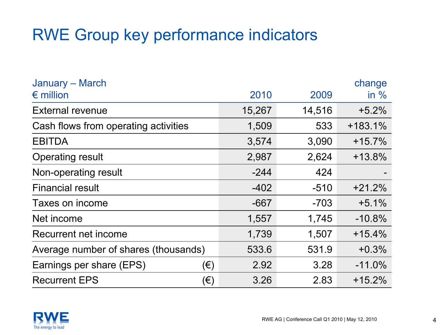### RWE Group key performance indicators

| January - March<br>$\epsilon$ million | 2010   | 2009   | change<br>in $%$ |
|---------------------------------------|--------|--------|------------------|
|                                       |        |        |                  |
| <b>External revenue</b>               | 15,267 | 14,516 | $+5.2%$          |
| Cash flows from operating activities  | 1,509  | 533    | $+183.1%$        |
| <b>EBITDA</b>                         | 3,574  | 3,090  | $+15.7%$         |
| <b>Operating result</b>               | 2,987  | 2,624  | $+13.8%$         |
| Non-operating result                  | $-244$ | 424    |                  |
| <b>Financial result</b>               | $-402$ | $-510$ | $+21.2%$         |
| Taxes on income                       | $-667$ | $-703$ | $+5.1%$          |
| Net income                            | 1,557  | 1,745  | $-10.8%$         |
| Recurrent net income                  | 1,739  | 1,507  | $+15.4%$         |
| Average number of shares (thousands)  | 533.6  | 531.9  | $+0.3%$          |
| Earnings per share (EPS)<br>(€)       | 2.92   | 3.28   | $-11.0%$         |
| (€)<br><b>Recurrent EPS</b>           | 3.26   | 2.83   | $+15.2%$         |

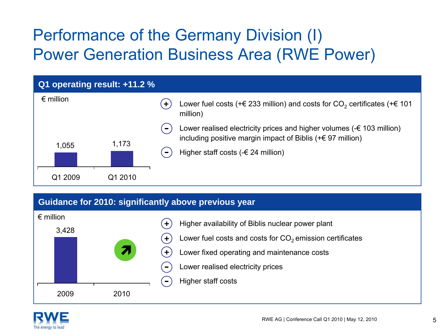# Performance of the Germany Division (I) Power Generation Business Area (RWE Power)



#### **Guidance for 2010: significantly above previous year**



- Higher availability of Biblis nuclear power plant
- Lower fuel costs and costs for  $CO<sub>2</sub>$  emission certificates
- Lower fixed operating and maintenance costs
- Lower realised electricity prices
- Higher staff costs

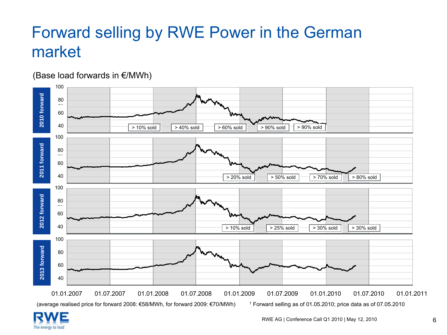# Forward selling by RWE Power in the German market



(average realised price for forward 2008: €58/MWh, for forward 2009: €70/MWh) 1 Forward selling as of 01.05.2010; price data as of 07.05.2010



(Base load forwards in €/MWh)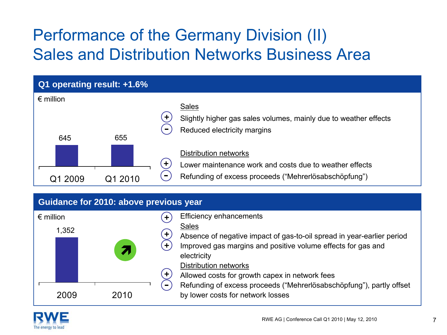# Performance of the Germany Division (II) Sales and Distribution Networks Business Area



Refunding of excess proceeds ("Mehrerlösabschöpfung"), partly offset by lower costs for network losses



2009 2010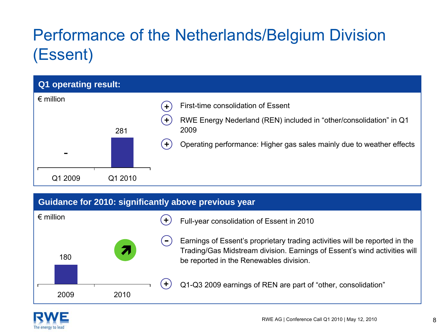# Performance of the Netherlands/Belgium Division (Essent)

| Q1 operating result:                 |         |                                                                                                                                                                                                                                                        |
|--------------------------------------|---------|--------------------------------------------------------------------------------------------------------------------------------------------------------------------------------------------------------------------------------------------------------|
| $\epsilon$ million<br>$\blacksquare$ | 281     | First-time consolidation of Essent<br>$\ddot{\phantom{1}}$<br>RWE Energy Nederland (REN) included in "other/consolidation" in Q1<br>$\ddot{}$<br>2009<br>Operating performance: Higher gas sales mainly due to weather effects<br>$\ddot{\phantom{1}}$ |
| Q1 2009                              | Q1 2010 |                                                                                                                                                                                                                                                        |

#### **Guidance for 2010: significantly above previous year**



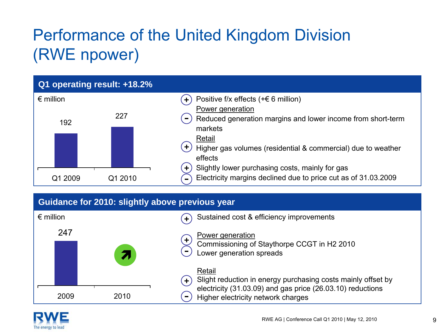# Performance of the United Kingdom Division (RWE npower)



|                    | Guidance for 2010: slightly above previous year |                                                                                                                                                                                    |
|--------------------|-------------------------------------------------|------------------------------------------------------------------------------------------------------------------------------------------------------------------------------------|
| $\epsilon$ million |                                                 | Sustained cost & efficiency improvements<br>$\left( \cdot \right)$                                                                                                                 |
| 247                |                                                 | Power generation<br>$\pm$<br>Commissioning of Staythorpe CCGT in H2 2010<br>Lower generation spreads                                                                               |
| 2009               | 2010                                            | Retail<br>Slight reduction in energy purchasing costs mainly offset by<br>$+1$<br>electricity (31.03.09) and gas price (26.03.10) reductions<br>Higher electricity network charges |

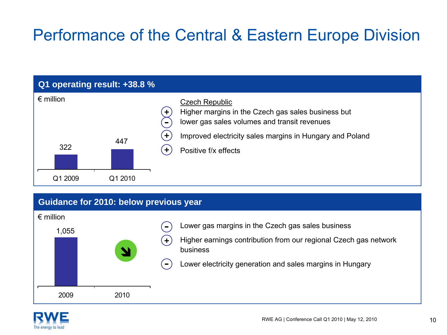## Performance of the Central & Eastern Europe Division



#### **Guidance for 2010: below previous year**



- Lower gas margins in the Czech gas sales business
- Higher earnings contribution from our regional Czech gas network business
- Lower electricity generation and sales margins in Hungary

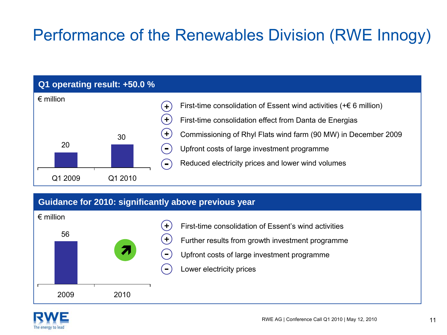# Performance of the Renewables Division (RWE Innogy)

# Q1 2009 Q1 2010 2030€ million

**Q1 operating result: +50.0 %**

- First-time consolidation of Essent wind activities  $(+& 6$  million)
- First-time consolidation effect from Danta de Energias
- Commissioning of Rhyl Flats wind farm (90 MW) in December 2009
- Upfront costs of large investment programme
- Reduced electricity prices and lower wind volumes

#### **Guidance for 2010: significantly above previous year**

**+ +**

**+**

 $\blacksquare$ 



- First-time consolidation of Essent's wind activities
- Further results from growth investment programme
- Upfront costs of large investment programme
- Lower electricity prices

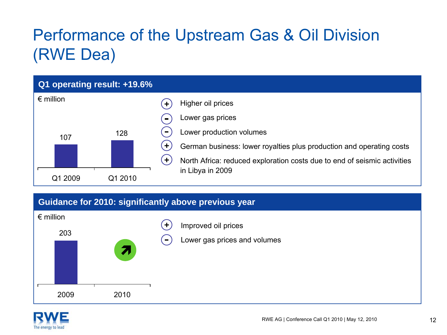# Performance of the Upstream Gas & Oil Division (RWE Dea)



#### **Guidance for 2010: significantly above previous year**



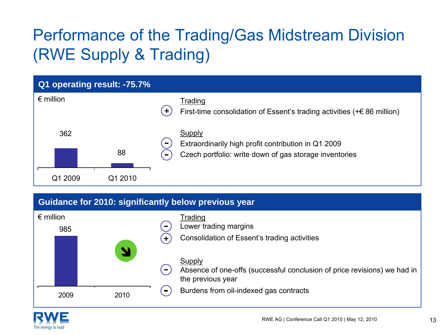# Performance of the Trading/Gas Midstream Division (RWE Supply & Trading)



#### **Guidance for 2010: significantly below previous year**



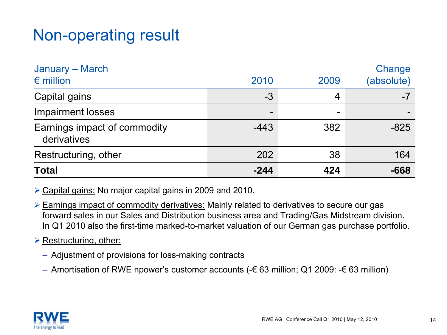### Non-operating result

| <b>Total</b>                                | $-244$                   | 424  | $-668$               |
|---------------------------------------------|--------------------------|------|----------------------|
| Restructuring, other                        | 202                      | 38   | 164                  |
| Earnings impact of commodity<br>derivatives | $-443$                   | 382  | $-825$               |
| <b>Impairment losses</b>                    | $\overline{\phantom{0}}$ | -    |                      |
| Capital gains                               | $-3$                     | 4    | -7                   |
| January – March<br>$\epsilon$ million       | 2010                     | 2009 | Change<br>(absolute) |

¾ Capital gains: No major capital gains in 2009 and 2010.

¾ Earnings impact of commodity derivatives: Mainly related to derivatives to secure our gas forward sales in our Sales and Distribution business area and Trading/Gas Midstream division. In Q1 2010 also the first-time marked-to-market valuation of our German gas purchase portfolio.

**► Restructuring, other:** 

- Adjustment of provisions for loss-making contracts
- Amortisation of RWE npower's customer accounts (-€ 63 million; Q1 2009: -€ 63 million)

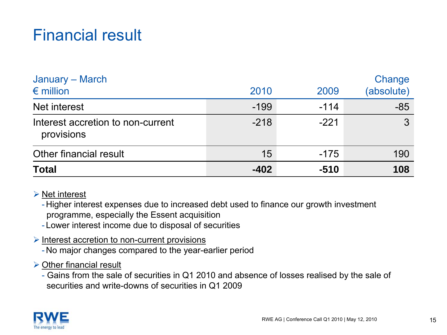### Financial result

| January – March<br>$\epsilon$ million           | 2010   | 2009   | Change<br>(absolute) |
|-------------------------------------------------|--------|--------|----------------------|
| Net interest                                    | $-199$ | $-114$ | $-85$                |
| Interest accretion to non-current<br>provisions | $-218$ | $-221$ | $\mathbf{3}$         |
| Other financial result                          | 15     | $-175$ | 190                  |
| <b>Total</b>                                    | $-402$ | $-510$ | 108                  |

#### $\triangleright$  Net interest

- Higher interest expenses due to increased debt used to finance our growth investment programme, especially the Essent acquisition

- Lower interest income due to disposal of securities

#### ¾ Interest accretion to non-current provisions

- No major changes compared to the year-earlier period

#### $\triangleright$  Other financial result

- Gains from the sale of securities in Q1 2010 and absence of losses realised by the sale of securities and write-downs of securities in Q1 2009

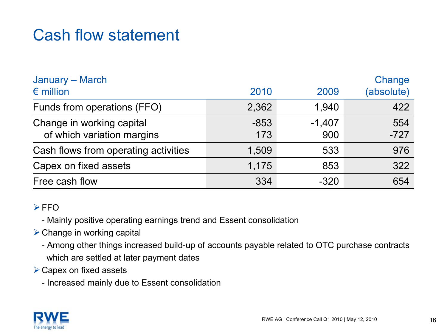### Cash flow statement

| January - March<br>$\epsilon$ million                   | 2010          | 2009            | Change<br>(absolute) |
|---------------------------------------------------------|---------------|-----------------|----------------------|
| Funds from operations (FFO)                             | 2,362         | 1,940           | 422                  |
| Change in working capital<br>of which variation margins | $-853$<br>173 | $-1,407$<br>900 | 554<br>$-727$        |
| Cash flows from operating activities                    | 1,509         | 533             | 976                  |
| Capex on fixed assets                                   | 1,175         | 853             | 322                  |
| Free cash flow                                          | 334           | $-320$          | 654                  |

#### $>$ FFO

- Mainly positive operating earnings trend and Essent consolidation

- $\triangleright$  Change in working capital
	- Among other things increased build-up of accounts payable related to OTC purchase contracts which are settled at later payment dates
- $\triangleright$  Capex on fixed assets
	- Increased mainly due to Essent consolidation

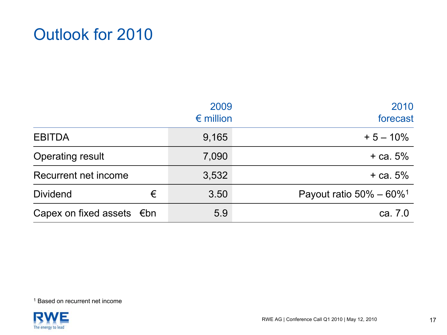#### Outlook for 2010

|                                     |   | 2009<br>$\epsilon$ million | 2010<br>forecast                        |
|-------------------------------------|---|----------------------------|-----------------------------------------|
| <b>EBITDA</b>                       |   | 9,165                      | $+5 - 10\%$                             |
| <b>Operating result</b>             |   | 7,090                      | $+$ ca. 5%                              |
| Recurrent net income                |   | 3,532                      | $+$ ca. 5%                              |
| <b>Dividend</b>                     | € | 3.50                       | Payout ratio $50\% - 60\%$ <sup>1</sup> |
| Capex on fixed assets $\epsilon$ bn |   | 5.9                        | ca. 7.0                                 |

<sup>1</sup> Based on recurrent net income

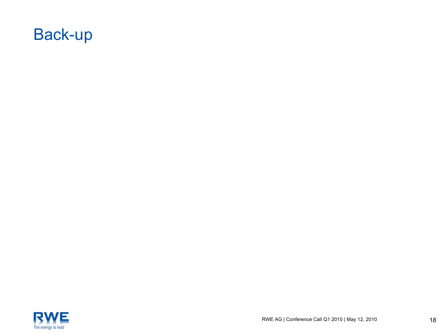

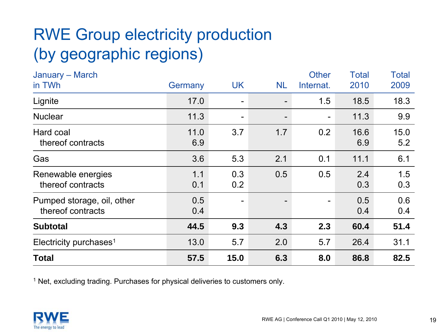# RWE Group electricity production (by geographic regions)

| January - March                                 |             |            |           | <b>Other</b> | <b>Total</b> | <b>Total</b> |
|-------------------------------------------------|-------------|------------|-----------|--------------|--------------|--------------|
| in TWh                                          | Germany     | <b>UK</b>  | <b>NL</b> | Internat.    | 2010         | 2009         |
| Lignite                                         | 17.0        |            |           | 1.5          | 18.5         | 18.3         |
| <b>Nuclear</b>                                  | 11.3        |            |           |              | 11.3         | 9.9          |
| Hard coal<br>thereof contracts                  | 11.0<br>6.9 | 3.7        | 1.7       | 0.2          | 16.6<br>6.9  | 15.0<br>5.2  |
| Gas                                             | 3.6         | 5.3        | 2.1       | 0.1          | 11.1         | 6.1          |
| Renewable energies<br>thereof contracts         | 1.1<br>0.1  | 0.3<br>0.2 | 0.5       | 0.5          | 2.4<br>0.3   | 1.5<br>0.3   |
| Pumped storage, oil, other<br>thereof contracts | 0.5<br>0.4  |            |           |              | 0.5<br>0.4   | 0.6<br>0.4   |
| <b>Subtotal</b>                                 | 44.5        | 9.3        | 4.3       | 2.3          | 60.4         | 51.4         |
| Electricity purchases <sup>1</sup>              | 13.0        | 5.7        | 2.0       | 5.7          | 26.4         | 31.1         |
| <b>Total</b>                                    | 57.5        | 15.0       | 6.3       | 8.0          | 86.8         | 82.5         |

<sup>1</sup> Net, excluding trading. Purchases for physical deliveries to customers only.

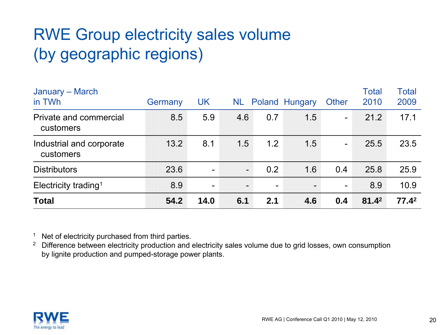# RWE Group electricity sales volume (by geographic regions)

| January - March<br>in TWh             | Germany | <b>UK</b> | NL.                      |                          | Poland Hungary               | Other                    | Total<br>2010 | Total<br>2009     |
|---------------------------------------|---------|-----------|--------------------------|--------------------------|------------------------------|--------------------------|---------------|-------------------|
| Private and commercial<br>customers   | 8.5     | 5.9       | 4.6                      | 0.7                      | 1.5                          | $\overline{\phantom{a}}$ | 21.2          | 17.1              |
| Industrial and corporate<br>customers | 13.2    | 8.1       | 1.5                      | 1.2                      | 1.5                          | $\blacksquare$           | 25.5          | 23.5              |
| <b>Distributors</b>                   | 23.6    |           | -                        | 0.2                      | 1.6                          | 0.4                      | 25.8          | 25.9              |
| Electricity trading <sup>1</sup>      | 8.9     | -         | $\overline{\phantom{a}}$ | $\overline{\phantom{0}}$ | $\qquad \qquad \blacksquare$ | $\blacksquare$           | 8.9           | 10.9              |
| <b>Total</b>                          | 54.2    | 14.0      | 6.1                      | 2.1                      | 4.6                          | 0.4                      | $81.4^2$      | 77.4 <sup>2</sup> |

<sup>1</sup> Net of electricity purchased from third parties.

<sup>2</sup> Difference between electricity production and electricity sales volume due to grid losses, own consumption by lignite production and pumped-storage power plants.

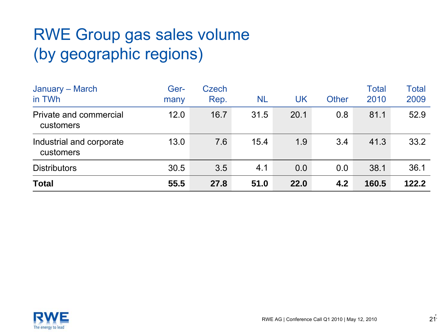# RWE Group gas sales volume (by geographic regions)

| January - March<br>in TWh             | Ger-<br>many | Czech<br>Rep. | NL   | UK   | Other | <b>Total</b><br>2010 | <b>Total</b><br>2009 |
|---------------------------------------|--------------|---------------|------|------|-------|----------------------|----------------------|
| Private and commercial<br>customers   | 12.0         | 16.7          | 31.5 | 20.1 | 0.8   | 81.1                 | 52.9                 |
| Industrial and corporate<br>customers | 13.0         | 7.6           | 15.4 | 1.9  | 3.4   | 41.3                 | 33.2                 |
| <b>Distributors</b>                   | 30.5         | 3.5           | 4.1  | 0.0  | 0.0   | 38.1                 | 36.1                 |
| <b>Total</b>                          | 55.5         | 27.8          | 51.0 | 22.0 | 4.2   | 160.5                | 122.2                |

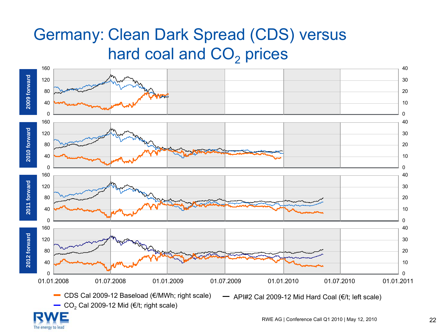### Germany: Clean Dark Spread (CDS) versus hard coal and  $\mathsf{CO}_2$  prices



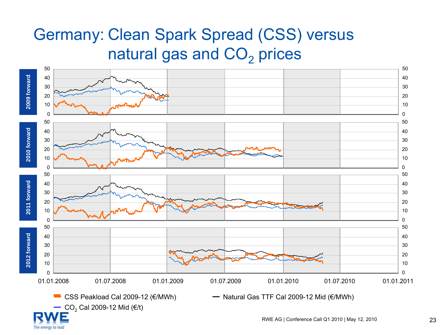## Germany: Clean Spark Spread (CSS) versus natural gas and  $\mathsf{CO}_2$  prices



The energy to lead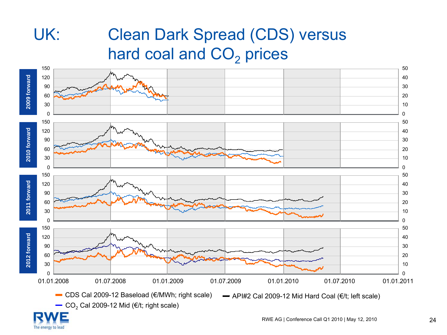# UK: Clean Dark Spread (CDS) versus hard coal and  $\mathsf{CO}_2$  prices



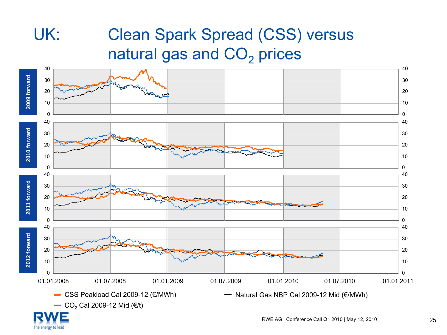# UK: Clean Spark Spread (CSS) versus natural gas and  $\mathsf{CO}_2$  prices



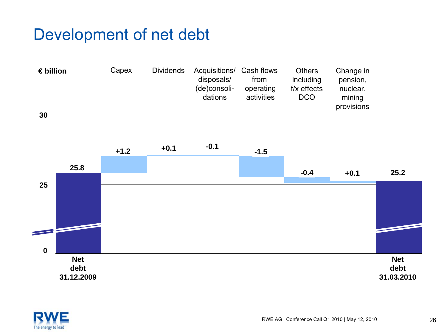### Development of net debt





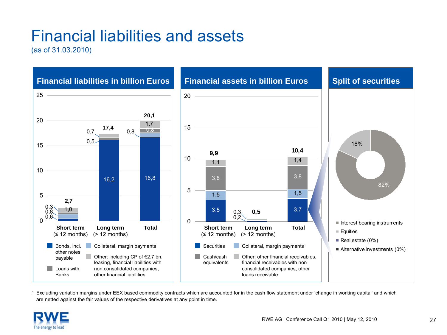# Financial liabilities and assets

(as of 31.03.2010)



1 Excluding variation margins under EEX based commodity contracts which are accounted for in the cash flow statement under 'change in working capital' and which are netted against the fair values of the respective derivatives at any point in time.

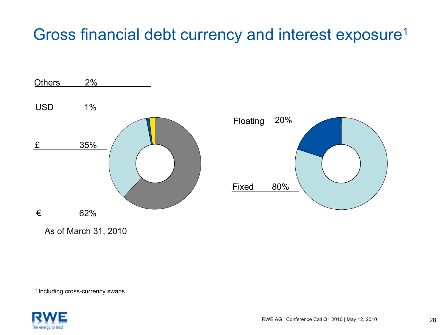### Gross financial debt currency and interest exposure<sup>1</sup>





As of March 31, 2010

<sup>1</sup> Including cross-currency swaps.